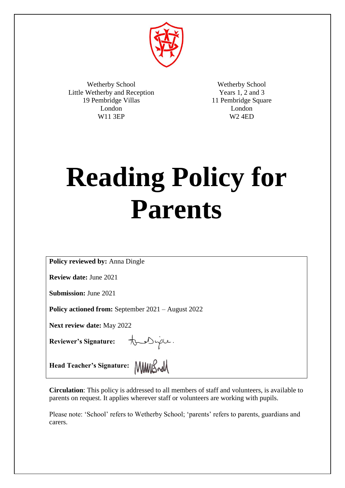

Wetherby School Little Wetherby and Reception 19 Pembridge Villas London W11 3EP

Wetherby School Years 1, 2 and 3 11 Pembridge Square London W2 4ED

# **Reading Policy for Parents**

**Policy reviewed by:** Anna Dingle

**Review date:** June 2021

**Submission:** June 2021

**Policy actioned from:** September 2021 – August 2022

**Next review date:** May 2022

**Reviewer's Signature:**

tous jou.

**Head Teacher's Signature:** MMMSwM

**Circulation**: This policy is addressed to all members of staff and volunteers, is available to parents on request. It applies wherever staff or volunteers are working with pupils.

Please note: 'School' refers to Wetherby School; 'parents' refers to parents, guardians and carers.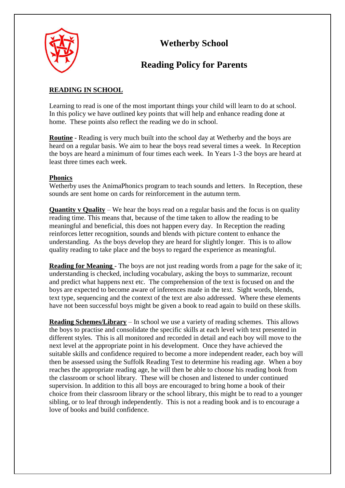

## **Wetherby School**

## **Reading Policy for Parents**

#### **READING IN SCHOOL**

Learning to read is one of the most important things your child will learn to do at school. In this policy we have outlined key points that will help and enhance reading done at home. These points also reflect the reading we do in school.

**Routine** - Reading is very much built into the school day at Wetherby and the boys are heard on a regular basis. We aim to hear the boys read several times a week. In Reception the boys are heard a minimum of four times each week. In Years 1-3 the boys are heard at least three times each week.

#### **Phonics**

Wetherby uses the AnimaPhonics program to teach sounds and letters. In Reception, these sounds are sent home on cards for reinforcement in the autumn term.

**Quantity v Quality** – We hear the boys read on a regular basis and the focus is on quality reading time. This means that, because of the time taken to allow the reading to be meaningful and beneficial, this does not happen every day. In Reception the reading reinforces letter recognition, sounds and blends with picture content to enhance the understanding. As the boys develop they are heard for slightly longer. This is to allow quality reading to take place and the boys to regard the experience as meaningful.

**Reading for Meaning** - The boys are not just reading words from a page for the sake of it; understanding is checked, including vocabulary, asking the boys to summarize, recount and predict what happens next etc. The comprehension of the text is focused on and the boys are expected to become aware of inferences made in the text. Sight words, blends, text type, sequencing and the context of the text are also addressed. Where these elements have not been successful boys might be given a book to read again to build on these skills.

**Reading Schemes/Library** – In school we use a variety of reading schemes. This allows the boys to practise and consolidate the specific skills at each level with text presented in different styles. This is all monitored and recorded in detail and each boy will move to the next level at the appropriate point in his development. Once they have achieved the suitable skills and confidence required to become a more independent reader, each boy will then be assessed using the Suffolk Reading Test to determine his reading age. When a boy reaches the appropriate reading age, he will then be able to choose his reading book from the classroom or school library. These will be chosen and listened to under continued supervision. In addition to this all boys are encouraged to bring home a book of their choice from their classroom library or the school library, this might be to read to a younger sibling, or to leaf through independently. This is not a reading book and is to encourage a love of books and build confidence.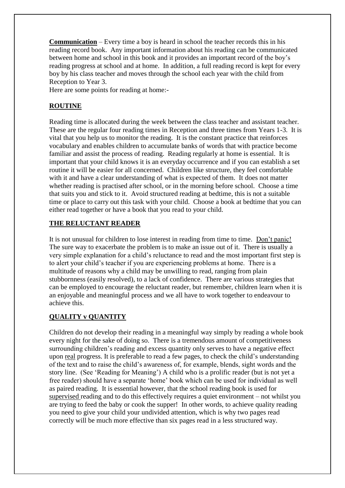**Communication** – Every time a boy is heard in school the teacher records this in his reading record book. Any important information about his reading can be communicated between home and school in this book and it provides an important record of the boy's reading progress at school and at home. In addition, a full reading record is kept for every boy by his class teacher and moves through the school each year with the child from Reception to Year 3.

Here are some points for reading at home:-

#### **ROUTINE**

Reading time is allocated during the week between the class teacher and assistant teacher. These are the regular four reading times in Reception and three times from Years 1-3. It is vital that you help us to monitor the reading. It is the constant practice that reinforces vocabulary and enables children to accumulate banks of words that with practice become familiar and assist the process of reading. Reading regularly at home is essential. It is important that your child knows it is an everyday occurrence and if you can establish a set routine it will be easier for all concerned. Children like structure, they feel comfortable with it and have a clear understanding of what is expected of them. It does not matter whether reading is practised after school, or in the morning before school. Choose a time that suits you and stick to it. Avoid structured reading at bedtime, this is not a suitable time or place to carry out this task with your child. Choose a book at bedtime that you can either read together or have a book that you read to your child.

#### **THE RELUCTANT READER**

It is not unusual for children to lose interest in reading from time to time. Don't panic! The sure way to exacerbate the problem is to make an issue out of it. There is usually a very simple explanation for a child's reluctance to read and the most important first step is to alert your child's teacher if you are experiencing problems at home. There is a multitude of reasons why a child may be unwilling to read, ranging from plain stubbornness (easily resolved), to a lack of confidence. There are various strategies that can be employed to encourage the reluctant reader, but remember, children learn when it is an enjoyable and meaningful process and we all have to work together to endeavour to achieve this.

#### **QUALITY v QUANTITY**

Children do not develop their reading in a meaningful way simply by reading a whole book every night for the sake of doing so. There is a tremendous amount of competitiveness surrounding children's reading and excess quantity only serves to have a negative effect upon real progress. It is preferable to read a few pages, to check the child's understanding of the text and to raise the child's awareness of, for example, blends, sight words and the story line. (See 'Reading for Meaning') A child who is a prolific reader (but is not yet a free reader) should have a separate 'home' book which can be used for individual as well as paired reading. It is essential however, that the school reading book is used for supervised reading and to do this effectively requires a quiet environment – not whilst you are trying to feed the baby or cook the supper! In other words, to achieve quality reading you need to give your child your undivided attention, which is why two pages read correctly will be much more effective than six pages read in a less structured way.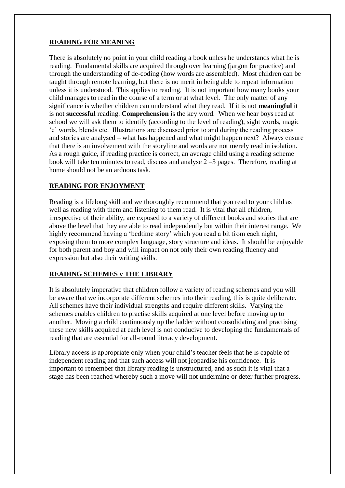#### **READING FOR MEANING**

There is absolutely no point in your child reading a book unless he understands what he is reading. Fundamental skills are acquired through over learning (jargon for practice) and through the understanding of de-coding (how words are assembled). Most children can be taught through remote learning, but there is no merit in being able to repeat information unless it is understood. This applies to reading. It is not important how many books your child manages to read in the course of a term or at what level. The only matter of any significance is whether children can understand what they read. If it is not **meaningful** it is not **successful** reading. **Comprehension** is the key word. When we hear boys read at school we will ask them to identify (according to the level of reading), sight words, magic 'e' words, blends etc. Illustrations are discussed prior to and during the reading process and stories are analysed – what has happened and what might happen next? Always ensure that there is an involvement with the storyline and words are not merely read in isolation. As a rough guide, if reading practice is correct, an average child using a reading scheme book will take ten minutes to read, discuss and analyse 2 –3 pages. Therefore, reading at home should not be an arduous task.

#### **READING FOR ENJOYMENT**

Reading is a lifelong skill and we thoroughly recommend that you read to your child as well as reading with them and listening to them read. It is vital that all children, irrespective of their ability, are exposed to a variety of different books and stories that are above the level that they are able to read independently but within their interest range. We highly recommend having a 'bedtime story' which you read a bit from each night, exposing them to more complex language, story structure and ideas. It should be enjoyable for both parent and boy and will impact on not only their own reading fluency and expression but also their writing skills.

#### **READING SCHEMES v THE LIBRARY**

It is absolutely imperative that children follow a variety of reading schemes and you will be aware that we incorporate different schemes into their reading, this is quite deliberate. All schemes have their individual strengths and require different skills. Varying the schemes enables children to practise skills acquired at one level before moving up to another. Moving a child continuously up the ladder without consolidating and practising these new skills acquired at each level is not conducive to developing the fundamentals of reading that are essential for all-round literacy development.

Library access is appropriate only when your child's teacher feels that he is capable of independent reading and that such access will not jeopardise his confidence. It is important to remember that library reading is unstructured, and as such it is vital that a stage has been reached whereby such a move will not undermine or deter further progress.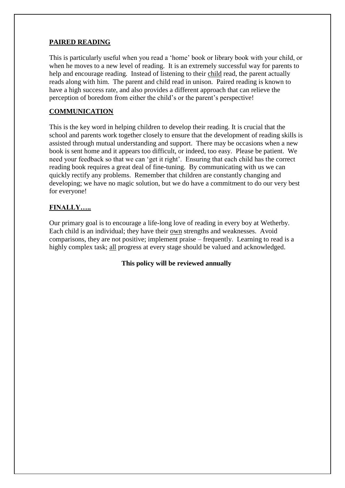#### **PAIRED READING**

This is particularly useful when you read a 'home' book or library book with your child, or when he moves to a new level of reading. It is an extremely successful way for parents to help and encourage reading. Instead of listening to their child read, the parent actually reads along with him. The parent and child read in unison. Paired reading is known to have a high success rate, and also provides a different approach that can relieve the perception of boredom from either the child's or the parent's perspective!

#### **COMMUNICATION**

This is the key word in helping children to develop their reading. It is crucial that the school and parents work together closely to ensure that the development of reading skills is assisted through mutual understanding and support. There may be occasions when a new book is sent home and it appears too difficult, or indeed, too easy. Please be patient. We need your feedback so that we can 'get it right'. Ensuring that each child has the correct reading book requires a great deal of fine-tuning. By communicating with us we can quickly rectify any problems. Remember that children are constantly changing and developing; we have no magic solution, but we do have a commitment to do our very best for everyone!

#### **FINALLY…..**

Our primary goal is to encourage a life-long love of reading in every boy at Wetherby. Each child is an individual; they have their own strengths and weaknesses. Avoid comparisons, they are not positive; implement praise – frequently. Learning to read is a highly complex task; all progress at every stage should be valued and acknowledged.

**This policy will be reviewed annually**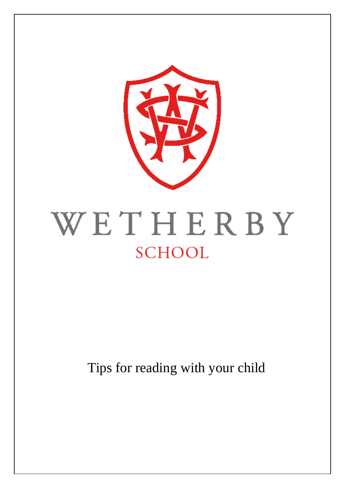

## WETHERBY **SCHOOL**

Tips for reading with your child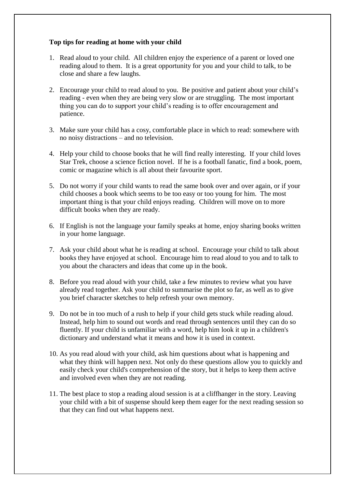#### **Top tips for reading at home with your child**

- 1. Read aloud to your child. All children enjoy the experience of a parent or loved one reading aloud to them. It is a great opportunity for you and your child to talk, to be close and share a few laughs.
- 2. Encourage your child to read aloud to you. Be positive and patient about your child's reading - even when they are being very slow or are struggling. The most important thing you can do to support your child's reading is to offer encouragement and patience.
- 3. Make sure your child has a cosy, comfortable place in which to read: somewhere with no noisy distractions – and no television.
- 4. Help your child to choose books that he will find really interesting. If your child loves Star Trek, choose a science fiction novel. If he is a football fanatic, find a book, poem, comic or magazine which is all about their favourite sport.
- 5. Do not worry if your child wants to read the same book over and over again, or if your child chooses a book which seems to be too easy or too young for him. The most important thing is that your child enjoys reading. Children will move on to more difficult books when they are ready.
- 6. If English is not the language your family speaks at home, enjoy sharing books written in your home language.
- 7. Ask your child about what he is reading at school. Encourage your child to talk about books they have enjoyed at school. Encourage him to read aloud to you and to talk to you about the characters and ideas that come up in the book.
- 8. Before you read aloud with your child, take a few minutes to review what you have already read together. Ask your child to summarise the plot so far, as well as to give you brief character sketches to help refresh your own memory.
- 9. Do not be in too much of a rush to help if your child gets stuck while reading aloud. Instead, help him to sound out words and read through sentences until they can do so fluently. If your child is unfamiliar with a word, help him look it up in a children's dictionary and understand what it means and how it is used in context.
- 10. As you read aloud with your child, ask him questions about what is happening and what they think will happen next. Not only do these questions allow you to quickly and easily check your child's comprehension of the story, but it helps to keep them active and involved even when they are not reading.
- 11. The best place to stop a reading aloud session is at a cliffhanger in the story. Leaving your child with a bit of suspense should keep them eager for the next reading session so that they can find out what happens next.